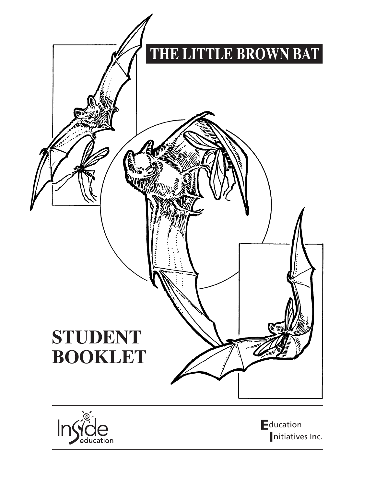



**E**ducation nitiatives Inc.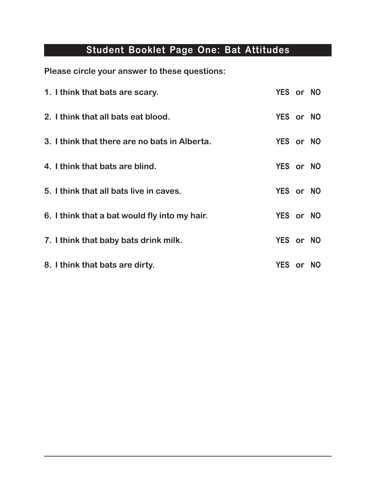## **Student Booklet Page One: Bat Attitudes**

**Please circle your answer to these questions:**

| 1. I think that bats are scary.               | YES or NO |  |
|-----------------------------------------------|-----------|--|
| 2. I think that all bats eat blood.           | YES or NO |  |
| 3. I think that there are no bats in Alberta. | YES or NO |  |
| 4. I think that bats are blind.               | YES or NO |  |
| 5. I think that all bats live in caves.       | YES or NO |  |
| 6. I think that a bat would fly into my hair. | YES or NO |  |
| 7. I think that baby bats drink milk.         | YES or NO |  |
| 8. I think that bats are dirty.               | YES or NO |  |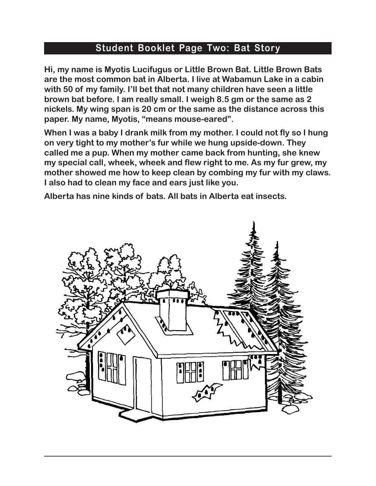#### **Student Booklet Page Two: Bat Story**

**Hi, my name is Myotis Lucifugus or Little Brown Bat. Little Brown Bats are the most common bat in Alberta. I live at Wabamun Lake in a cabin with 50 of my family. I'll bet that not many children have seen a little brown bat before. I am really small. I weigh 8.5 gm or the same as 2 nickels. My wing span is 20 cm or the same as the distance across this paper. My name, Myotis, "means mouse-eared".**

**When I was a baby I drank milk from my mother. I could not fly so I hung on very tight to my mother's fur while we hung upside-down. They called me a pup. When my mother came back from hunting, she knew my special call, wheek, wheek and flew right to me. As my fur grew, my mother showed me how to keep clean by combing my fur with my claws. I also had to clean my face and ears just like you.** 

**Alberta has nine kinds of bats. All bats in Alberta eat insects.**

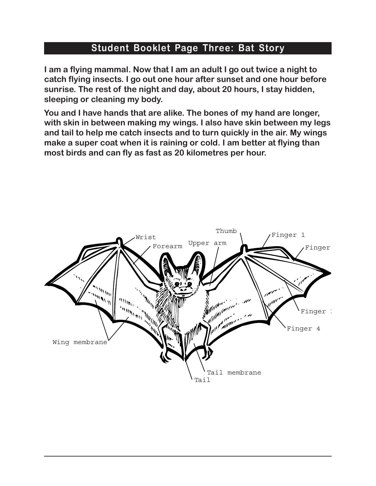### **Student Booklet Page Three: Bat Story**

**I am a flying mammal. Now that I am an adult I go out twice a night to catch flying insects. I go out one hour after sunset and one hour before sunrise. The rest of the night and day, about 20 hours, I stay hidden, sleeping or cleaning my body.** 

**You and I have hands that are alike. The bones of my hand are longer, with skin in between making my wings. I also have skin between my legs and tail to help me catch insects and to turn quickly in the air. My wings make a super coat when it is raining or cold. I am better at flying than most birds and can fly as fast as 20 kilometres per hour.**

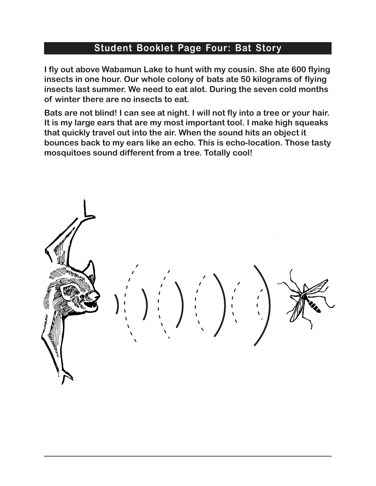#### **Student Booklet Page Four: Bat Story**

**I fly out above Wabamun Lake to hunt with my cousin. She ate 600 flying insects in one hour. Our whole colony of bats ate 50 kilograms of flying insects last summer. We need to eat alot. During the seven cold months of winter there are no insects to eat.** 

**Bats are not blind! I can see at night. I will not fly into a tree or your hair. It is my large ears that are my most important tool. I make high squeaks that quickly travel out into the air. When the sound hits an object it bounces back to my ears like an echo. This is echo-location. Those tasty mosquitoes sound different from a tree. Totally cool!**

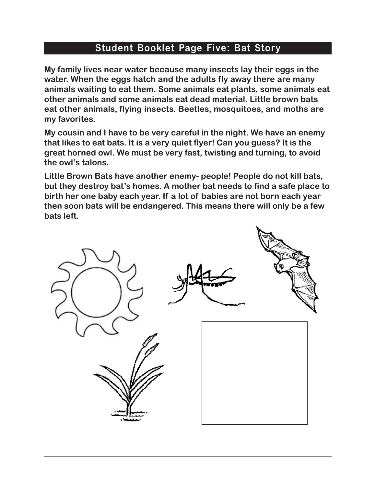#### **Student Booklet Page Five: Bat Story**

**My family lives near water because many insects lay their eggs in the water. When the eggs hatch and the adults fly away there are many animals waiting to eat them. Some animals eat plants, some animals eat other animals and some animals eat dead material. Little brown bats eat other animals, flying insects. Beetles, mosquitoes, and moths are my favorites.**

**My cousin and I have to be very careful in the night. We have an enemy that likes to eat bats. It is a very quiet flyer! Can you guess? It is the great horned owl. We must be very fast, twisting and turning, to avoid the owl's talons.**

**Little Brown Bats have another enemy- people! People do not kill bats, but they destroy bat's homes. A mother bat needs to find a safe place to birth her one baby each year. If a lot of babies are not born each year then soon bats will be endangered. This means there will only be a few bats left.** 

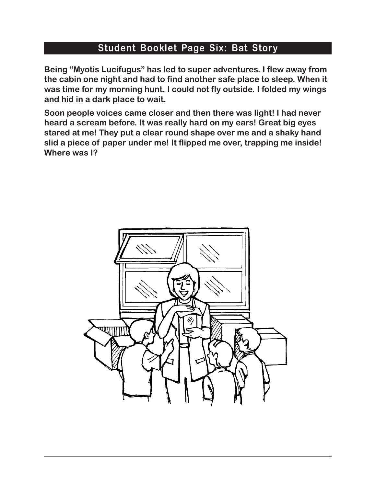#### **Student Booklet Page Six: Bat Story**

**Being "Myotis Lucifugus" has led to super adventures. I flew away from the cabin one night and had to find another safe place to sleep. When it was time for my morning hunt, I could not fly outside. I folded my wings and hid in a dark place to wait.** 

**Soon people voices came closer and then there was light! I had never heard a scream before. It was really hard on my ears! Great big eyes stared at me! They put a clear round shape over me and a shaky hand slid a piece of paper under me! It flipped me over, trapping me inside! Where was I?**

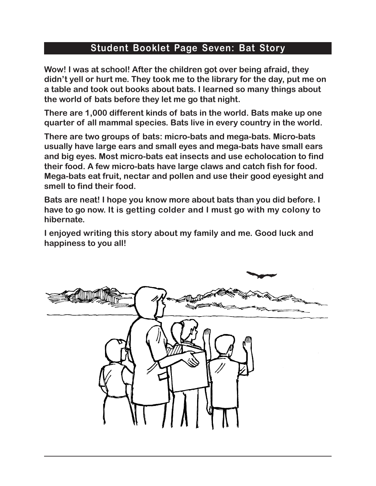#### **Student Booklet Page Seven: Bat Story**

**Wow! I was at school! After the children got over being afraid, they didn't yell or hurt me. They took me to the library for the day, put me on a table and took out books about bats. I learned so many things about the world of bats before they let me go that night.**

**There are 1,000 different kinds of bats in the world. Bats make up one quarter of all mammal species. Bats live in every country in the world.** 

**There are two groups of bats: micro-bats and mega-bats. Micro-bats usually have large ears and small eyes and mega-bats have small ears and big eyes. Most micro-bats eat insects and use echolocation to find their food. A few micro-bats have large claws and catch fish for food. Mega-bats eat fruit, nectar and pollen and use their good eyesight and smell to find their food.**

**Bats are neat! I hope you know more about bats than you did before. I have to go now. It is getting colder and I must go with my colony to hibernate.** 

**I enjoyed writing this story about my family and me. Good luck and happiness to you all!** 

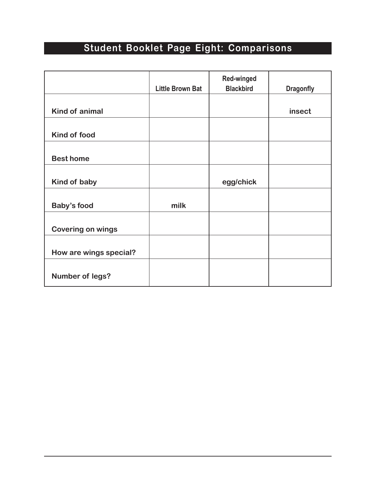# **Student Booklet Page Eight: Comparisons**

|                          |                         | <b>Red-winged</b> |                  |
|--------------------------|-------------------------|-------------------|------------------|
|                          | <b>Little Brown Bat</b> | <b>Blackbird</b>  | <b>Dragonfly</b> |
|                          |                         |                   |                  |
| <b>Kind of animal</b>    |                         |                   | insect           |
|                          |                         |                   |                  |
| Kind of food             |                         |                   |                  |
|                          |                         |                   |                  |
| <b>Best home</b>         |                         |                   |                  |
|                          |                         |                   |                  |
| Kind of baby             |                         | egg/chick         |                  |
|                          |                         |                   |                  |
| <b>Baby's food</b>       | milk                    |                   |                  |
|                          |                         |                   |                  |
| <b>Covering on wings</b> |                         |                   |                  |
|                          |                         |                   |                  |
| How are wings special?   |                         |                   |                  |
|                          |                         |                   |                  |
| <b>Number of legs?</b>   |                         |                   |                  |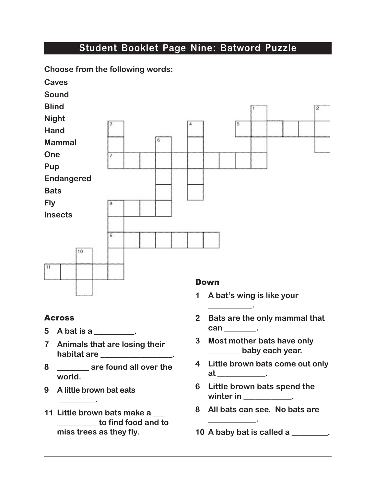#### **Student Booklet Page Nine: Batword Puzzle**



#### Across

- **5 A bat is a \_\_\_\_\_\_\_\_\_\_.**
- **7 Animals that are losing their habitat are \_\_\_\_\_\_\_\_\_\_\_\_\_\_\_\_\_\_.**

**Choose from the following words:**

- **8 \_\_\_\_\_\_\_\_ are found all over the world.**
- **9 A little brown bat eats**

 **\_\_\_\_\_\_\_\_\_.** 

**11 Little brown bats make a \_\_\_ \_\_\_\_\_\_\_\_\_\_ to find food and to miss trees as they fly.** 

**1 A bat's wing is like your** 

**\_\_\_\_\_\_\_\_\_\_\_.** 

- **2 Bats are the only mammal that**  can \_\_\_\_\_\_\_\_\_.
- **3 Most mother bats have only \_\_\_\_\_\_\_\_ baby each year.**
- **4 Little brown bats come out only at \_\_\_\_\_\_\_\_\_\_\_\_.**
- **6 Little brown bats spend the**  winter in \_\_\_\_\_\_\_\_\_\_\_\_.
- **8 All bats can see. No bats are**
- **10 A baby bat is called a \_\_\_\_\_\_\_\_\_.**

**\_\_\_\_\_\_\_\_\_\_\_\_.**